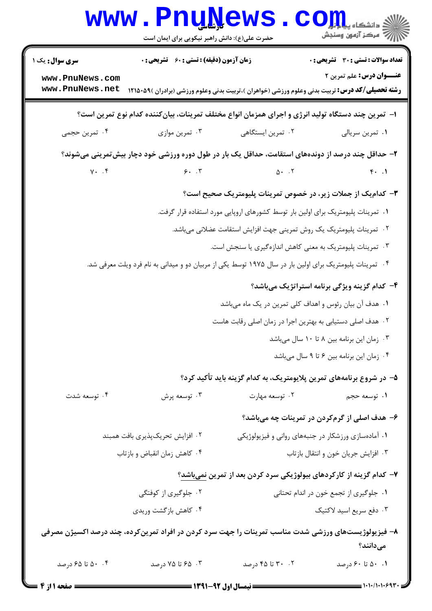|                                                                                                                 | <b>www.PnuNews</b><br>حضرت علی(ع): دانش راهبر نیکویی برای ایمان است                                                                                         |                                                                                  | اللہ دانشگاہ پیام ہیں۔<br>اللہ مرکز آزمون وسنجش                                  |  |
|-----------------------------------------------------------------------------------------------------------------|-------------------------------------------------------------------------------------------------------------------------------------------------------------|----------------------------------------------------------------------------------|----------------------------------------------------------------------------------|--|
| <b>سری سوال :</b> یک ۱<br>www.PnuNews.com<br>www.PnuNews.net                                                    | <b>زمان آزمون (دقیقه) : تستی : 60 ٪ تشریحی : 0</b><br><b>رشته تحصیلی/کد درس:</b> تربیت بدنی وعلوم ورزشی (خواهران )،تربیت بدنی وعلوم ورزشی (برادران )۵۹-۱۲۱۵ |                                                                                  | <b>تعداد سوالات : تستی : 30 ٪ تشریحی : 0</b><br><b>عنـــوان درس:</b> علم تمرین ۲ |  |
| ا– تمرین چند دستگاه تولید انرژی و اجرای همزمان انواع مختلف تمرینات، بیان کننده کدام نوع تمرین است؟              |                                                                                                                                                             |                                                                                  |                                                                                  |  |
| ۰۴ تمرین حجمی                                                                                                   | ۰۳ تمرین موازی                                                                                                                                              | ۰۲ تمرین ایستگاهی                                                                | ٠١ تمرين سريالي                                                                  |  |
| ۲- حداقل چند درصد از دوندههای استقامت، حداقل یک بار در طول دوره ورزشی خود دچار بیش تمرینی میشوند؟               |                                                                                                                                                             |                                                                                  |                                                                                  |  |
| $Y.$ . $f$                                                                                                      | 5.7                                                                                                                                                         | $\Delta$ . $\Gamma$                                                              | $f.$ .                                                                           |  |
|                                                                                                                 |                                                                                                                                                             | ۳- کدام یک از جملات زیر، در خصوص تمرینات پلیومتریک صحیح است؟                     |                                                                                  |  |
|                                                                                                                 |                                                                                                                                                             | ۰۱ تمرینات پلیومتریک برای اولین بار توسط کشورهای اروپایی مورد استفاده قرار گرفت. |                                                                                  |  |
|                                                                                                                 |                                                                                                                                                             | ۰۲ تمرینات پلیومتریک یک روش تمرینی جهت افزایش استقامت عضلانی میباشد.             |                                                                                  |  |
|                                                                                                                 |                                                                                                                                                             | ۰۳ تمرینات پلیومتریک به معنی کاهش اندازهگیری یا سنجش است.                        |                                                                                  |  |
|                                                                                                                 | ۰۴ تمرینات پلیومتریک برای اولین بار در سال ۱۹۷۵ توسط یکی از مربیان دو و میدانی به نام فرد ویلت معرفی شد.                                                    |                                                                                  |                                                                                  |  |
|                                                                                                                 |                                                                                                                                                             |                                                                                  | ۴- کدام گزینه ویژگی برنامه استراتژیک میباشد؟                                     |  |
|                                                                                                                 |                                                                                                                                                             | ۱. هدف آن بیان رئوس و اهداف کلی تمرین در یک ماه میباشد                           |                                                                                  |  |
|                                                                                                                 |                                                                                                                                                             | ۰۲ هدف اصلی دستیابی به بهترین اجرا در زمان اصلی رقابت هاست                       |                                                                                  |  |
|                                                                                                                 |                                                                                                                                                             |                                                                                  | ۰۳ زمان این برنامه بین ۸ تا ۱۰ سال میباشد                                        |  |
|                                                                                                                 |                                                                                                                                                             |                                                                                  | ۰۴ زمان این برنامه بین ۶ تا ۹ سال میباشد                                         |  |
|                                                                                                                 |                                                                                                                                                             | ۵– در شروع برنامههای تمرین پلایومتریک، به کدام گزینه باید تأکید کرد؟             |                                                                                  |  |
| ۰۴ توسعه شدت                                                                                                    | ۰۳ توسعه پرش                                                                                                                                                | ۰۲ توسعه مهارت                                                                   | ۰۱ توسعه حجم                                                                     |  |
|                                                                                                                 |                                                                                                                                                             |                                                                                  | ۶– هدف اصلی از گرمکردن در تمرینات چه میباشد؟                                     |  |
|                                                                                                                 | ۲. افزایش تحریکپذیری بافت همبند                                                                                                                             |                                                                                  | ۰۱ آمادهسازی ورزشکار در جنبههای روانی و فیزیولوژیکی                              |  |
|                                                                                                                 | ۰۴ كاهش زمان انقباض و بازتاب                                                                                                                                |                                                                                  | ٠٣ افزايش جريان خون و انتقال بازتاب                                              |  |
|                                                                                                                 |                                                                                                                                                             | ۷– کدام گزینه از کارکردهای بیولوژیکی سرد کردن بعد از تمرین <u>نمیباشد</u> ؟      |                                                                                  |  |
|                                                                                                                 | ۰۲ جلوگیری از کوفتگی                                                                                                                                        |                                                                                  | ٠١ جلوگيري از تجمع خون در اندام تحتاني                                           |  |
|                                                                                                                 | ۰۴ کاهش بازگشت وریدی                                                                                                                                        |                                                                                  | ۰۳ دفع سريع اسيد لاكتيك                                                          |  |
| ۸– فیزیولوژیستهای ورزشی شدت مناسب تمرینات را جهت سرد کردن در افراد تمرینکرده، چند درصد اکسیژن مصرفی<br>مىدانند؟ |                                                                                                                                                             |                                                                                  |                                                                                  |  |
| ۰. ۵۰ تا ۶۵ درصد                                                                                                | ۰۳ . ۶۵ تا ۷۵ درصد                                                                                                                                          | ۰۲ تا ۴۵ درصد                                                                    | ۰.۱ ۵۰ تا ۶۰ درصد                                                                |  |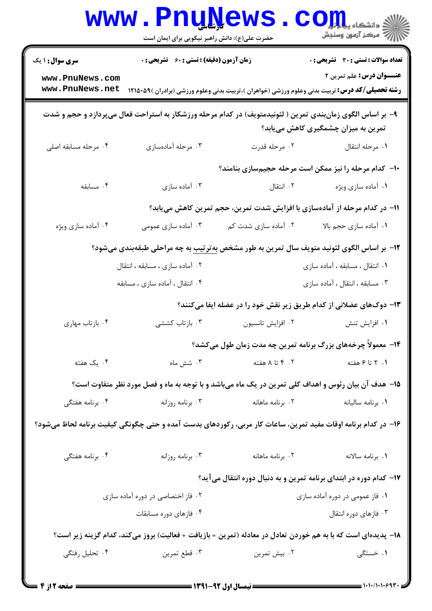|                                                                                                                                                  | <b>www.PnuNews</b><br>حضرت علی(ع): دانش راهبر نیکویی برای ایمان است |                      | ران دانشڪاه پي <mark>ام</mark> لو <mark>ر</mark><br>الأ                                                                                            |  |
|--------------------------------------------------------------------------------------------------------------------------------------------------|---------------------------------------------------------------------|----------------------|----------------------------------------------------------------------------------------------------------------------------------------------------|--|
| سری سوال : ۱ یک                                                                                                                                  | زمان آزمون (دقیقه) : تستی : 60 ٪ تشریحی : 0                         |                      | <b>تعداد سوالات : تستی : 30 ٪ تشریحی : 0</b>                                                                                                       |  |
| www.PnuNews.com<br>www.PnuNews.net                                                                                                               |                                                                     |                      | <b>عنـــوان درس:</b> علم تمرین ۲<br><b>رشته تحصیلی/کد درس:</b> تربیت بدنی وعلوم ورزشی (خواهران )،تربیت بدنی وعلوم ورزشی (برادران )۵۹ <b>۰</b> ۵۹ ا |  |
| ۹– بر اساس الگوی زمانبندی تمرین ( لئونیدمتویف) در کدام مرحله ورزشکار به استراحت فعال میپردازد و حجم و شدت<br>تمرین به میزان چشمگیری کاهش مییابد؟ |                                                                     |                      |                                                                                                                                                    |  |
| ۰۴ مرحله مسابقه اصلی                                                                                                                             | ۰۳ مرحله آمادهسازی                                                  | ۰۲ مرحله قدرت        | ٠١ مرحله انتقال                                                                                                                                    |  |
|                                                                                                                                                  |                                                                     |                      | ۱۰– کدام مرحله را نیز ممکن است مرحله حجیمسازی بنامند؟                                                                                              |  |
| $\cdot$ ۴ مسابقه                                                                                                                                 | ۰۳ آماده سازی                                                       | ۰۲ انتقال            | ۰۱ آماده سازي ويژه                                                                                                                                 |  |
| 11- در کدام مرحله از آمادهسازی با افزایش شدت تمرین، حجم تمرین کاهش مییابد؟                                                                       |                                                                     |                      |                                                                                                                                                    |  |
| ۰۴ أماده سازي ويژه                                                                                                                               | ۰۳ آماده سازی عمومی                                                 | ۰۲ آماده سازی شدت کم | ٠١ أماده سازي حجم بالا                                                                                                                             |  |
|                                                                                                                                                  |                                                                     |                      | <b>۱۲</b> - بر اساس الگوی لئونید متویف سال تمرین به طور مشخص <u>به تر تیب</u> به چه مراحلی طبقهبندی میشود؟                                         |  |
|                                                                                                                                                  | ۲. آماده سازی ، مسابقه ، انتقال                                     |                      | ۰۱ انتقال ، مسابقه ، آماده سازی                                                                                                                    |  |
|                                                                                                                                                  | ۰۴ انتقال ، أماده سازی ، مسابقه                                     |                      | ۰۳ مسابقه ، انتقال ، آماده سازی                                                                                                                    |  |
|                                                                                                                                                  |                                                                     |                      | ۱۳- دوکهای عضلانی از کدام طریق زیر نقش خود را در عضله ایفا میکنند؟                                                                                 |  |
| ۰۴ بازتاب مهاری                                                                                                                                  | ۰۳ بازتاب کششی                                                      | ۰۲ افزايش تانسيون    | ۰۱ افزایش تنش                                                                                                                                      |  |
|                                                                                                                                                  |                                                                     |                      | ۱۴- معمولاً چرخههای بزرگ برنامه تمرین چه مدت زمان طول میکشد؟                                                                                       |  |
| ۰۴ یک هفته                                                                                                                                       | ۰۳ شش ماه                                                           | ۰۲ تا ۸ هفته         | ۱. ۲ تا ۶ هفته                                                                                                                                     |  |
|                                                                                                                                                  |                                                                     |                      | ۱۵– هدف آن بیان رئوس و اهداف کلی تمرین در یک ماه میباشد و با توجه به ماه و فصل مورد نظر متفاوت است؟                                                |  |
| ۰۴ برنامه هفتگی                                                                                                                                  | ۰۳ برنامه روزانه                                                    | ۰۲ برنامه ماهانه     | ٠١. برنامه ساليانه                                                                                                                                 |  |
| ۱۶– در کدام برنامه اوقات مفید تمرین، ساعات کار مربی، رکوردهای بدست آمده و حتی چگونگی کیفیت برنامه لحاظ میشود؟                                    |                                                                     |                      |                                                                                                                                                    |  |
| ۰۴ برنامه هفتگی                                                                                                                                  | ۰۳ برنامه روزانه                                                    | ۰۲ برنامه ماهانه     | ٠١ برنامه سالانه                                                                                                                                   |  |
|                                                                                                                                                  |                                                                     |                      | ۱۷– کدام دوره در ابتدای برنامه تمرین و به دنبال دوره انتقال میآید؟                                                                                 |  |
| ۰۲ فاز اختصاصی در دوره آماده سازی                                                                                                                |                                                                     |                      | ۰۱ فاز عمومی در دوره آماده سازی                                                                                                                    |  |
|                                                                                                                                                  | ۰۴ فازهای دوره مسابقات                                              |                      | ۰۳ فازهای دوره انتقال                                                                                                                              |  |
| ۱۸– پدیدهای است که با به هم خوردن تعادل در معادله (تمرین = بازیافت + فعالیت) بروز میکند، کدام گزینه زیر است؟                                     |                                                                     |                      |                                                                                                                                                    |  |
| ۰۴ تحلیل رفتگی                                                                                                                                   | ۰۳ قطع تمرين                                                        | ۰۲ بیش تمرین         | ۱. خستگی                                                                                                                                           |  |
|                                                                                                                                                  |                                                                     |                      |                                                                                                                                                    |  |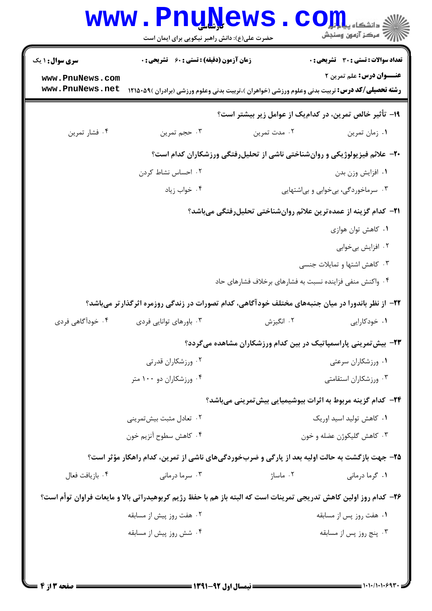|                                    | حضرت علی(ع): دانش راهبر نیکویی برای ایمان است                                                                     |                                                                         | ان دانشگاه پیاه <mark>ور</mark><br>ا <sup>رد</sup> مرکز آزمون وسنجش |
|------------------------------------|-------------------------------------------------------------------------------------------------------------------|-------------------------------------------------------------------------|---------------------------------------------------------------------|
| <b>سری سوال : ۱ یک</b>             | <b>زمان آزمون (دقیقه) : تستی : 60 ٪ تشریحی : 0</b>                                                                |                                                                         | <b>تعداد سوالات : تستی : 30 ٪ تشریحی : 0</b>                        |
| www.PnuNews.com<br>www.PnuNews.net | <b>رشته تحصیلی/کد درس:</b> تربیت بدنی وعلوم ورزشی (خواهران )،تربیت بدنی وعلوم ورزشی (برادران )۵۹-۱۲۱۵             |                                                                         | <b>عنـــوان درس:</b> علم تمرین ۲                                    |
|                                    |                                                                                                                   | ۱۹- تأثیر خالص تمرین، در کدامیک از عوامل زیر بیشتر است؟                 |                                                                     |
| ۰۴ فشار تمرين                      | ۰۳ حجم تمرين                                                                                                      | ۰۲ مدت تمرین                                                            | ٠١ زمان تمرين                                                       |
|                                    | +۲- علائم فیزیولوژیکی و روانشناختی ناشی از تحلیلرفتگی ورزشکاران کدام است؟                                         |                                                                         |                                                                     |
|                                    | ۰۲ احساس نشاط کردن                                                                                                |                                                                         | ٠١. افزايش وزن بدن                                                  |
|                                    | ۰۴ خواب زياد                                                                                                      |                                                                         | ۰۳ سرماخوردگی، بیخوابی و بیاشتهایی                                  |
|                                    |                                                                                                                   | <b>۲۱</b> – کدام گزینه از عمده ترین علائم روانشناختی تحلیلرفتگی میباشد؟ |                                                                     |
|                                    |                                                                                                                   |                                                                         | ۰۱ کاهش توان هوازی                                                  |
|                                    |                                                                                                                   |                                                                         | ۰۲ افزایش بیخوابی                                                   |
|                                    |                                                                                                                   |                                                                         | ۰۳ کاهش اشتها و تمایلات جنسی                                        |
|                                    |                                                                                                                   | ۰۴ واکنش منفی فزاینده نسبت به فشارهای برخلاف فشارهای حاد                |                                                                     |
|                                    | ۲۲– از نظر باندورا در میان جنبههای مختلف خودآگاهی، کدام تصورات در زندگی روزمره اثرگذار تر میباشد؟                 |                                                                         |                                                                     |
| ۰۴ خودآگاهی فردی                   | ۰۳ باورهای توانایی فردی                                                                                           | ۰۲ انگیزش                                                               | ۰۱ خودکارایی                                                        |
|                                    |                                                                                                                   | <b>۲۳</b> - بیش تمرینی پاراسمپاتیک در بین کدام ورزشکاران مشاهده میگردد؟ |                                                                     |
|                                    | ۰۲ ورزشکاران قدرتی                                                                                                | ۰۱ ورزشکاران سرعتی                                                      |                                                                     |
|                                    | ۰۴ ورزشکاران دو ۱۰۰ متر                                                                                           |                                                                         | ۰۳ ورزشکاران استقامتی                                               |
|                                    | <b>۲۴</b> - کدام گزینه مربوط به اثرات بیوشیمیایی بیشتمرینی میباشد؟                                                |                                                                         |                                                                     |
|                                    | ۰۲ تعادل مثبت بیشتمرینی                                                                                           | ۰۱ کاهش تولید اسید اوریک                                                |                                                                     |
|                                    | ۰۴ کاهش سطوح آنزیم خون                                                                                            |                                                                         | ۰۳ کاهش گلیکوژن عضله و خون                                          |
|                                    | ۲۵- جهت بازگشت به حالت اولیه بعد از پارگی و ضربخوردگیهای ناشی از تمرین، کدام راهکار مؤثر است؟                     |                                                                         |                                                                     |
| ۰۴ بازيافت فعال                    | ۰۳ سرما درمانی                                                                                                    | ۰۲ ماساژ                                                                | ۰۱ گرما درمانی                                                      |
|                                    | ۲۶- کدام روز اولین کاهش تدریجی تمرینات است که البته باز هم با حفظ رژیم کربوهیدراتی بالا و مایعات فراوان توأم است؟ |                                                                         |                                                                     |
| ۰۲ هفت روز پیش از مسابقه           |                                                                                                                   |                                                                         | ۰۱ هفت روز پس از مسابقه                                             |
|                                    |                                                                                                                   |                                                                         |                                                                     |